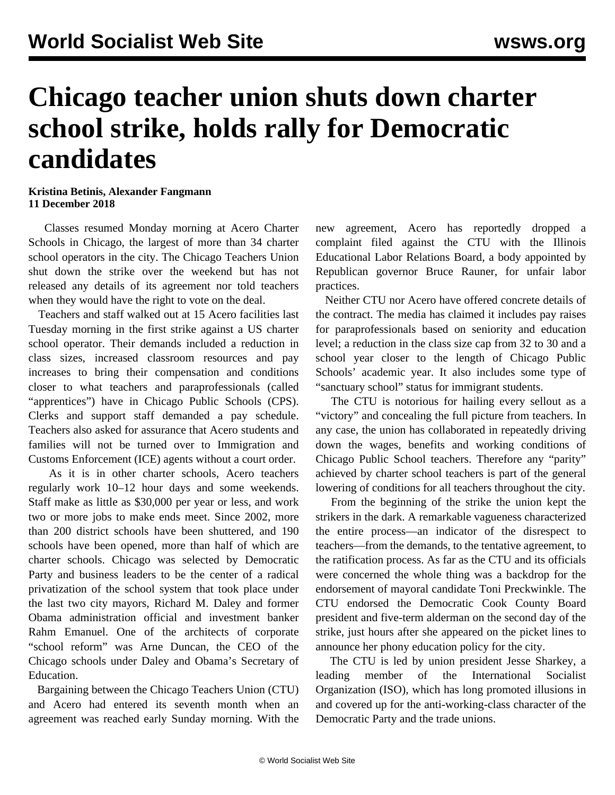## **Chicago teacher union shuts down charter school strike, holds rally for Democratic candidates**

## **Kristina Betinis, Alexander Fangmann 11 December 2018**

 Classes resumed Monday morning at Acero Charter Schools in Chicago, the largest of more than 34 charter school operators in the city. The Chicago Teachers Union shut down the strike over the weekend but has not released any details of its agreement nor told teachers when they would have the right to vote on the deal.

 Teachers and staff walked out at 15 Acero facilities last Tuesday morning in the first strike against a US charter school operator. Their demands included a reduction in class sizes, increased classroom resources and pay increases to bring their compensation and conditions closer to what teachers and paraprofessionals (called "apprentices") have in Chicago Public Schools (CPS). Clerks and support staff demanded a pay schedule. Teachers also asked for assurance that Acero students and families will not be turned over to Immigration and Customs Enforcement (ICE) agents without a court order.

 As it is in other charter schools, Acero teachers regularly work 10–12 hour days and some weekends. Staff make as little as \$30,000 per year or less, and work two or more jobs to make ends meet. Since 2002, more than 200 district schools have been shuttered, and 190 schools have been opened, more than half of which are charter schools. Chicago was selected by Democratic Party and business leaders to be the center of a radical privatization of the school system that took place under the last two city mayors, Richard M. Daley and former Obama administration official and investment banker Rahm Emanuel. One of the architects of corporate "school reform" was Arne Duncan, the CEO of the Chicago schools under Daley and Obama's Secretary of Education.

 Bargaining between the Chicago Teachers Union (CTU) and Acero had entered its seventh month when an agreement was reached early Sunday morning. With the new agreement, Acero has reportedly dropped a complaint filed against the CTU with the Illinois Educational Labor Relations Board, a body appointed by Republican governor Bruce Rauner, for unfair labor practices.

 Neither CTU nor Acero have offered concrete details of the contract. The media has claimed it includes pay raises for paraprofessionals based on seniority and education level; a reduction in the class size cap from 32 to 30 and a school year closer to the length of Chicago Public Schools' academic year. It also includes some type of "sanctuary school" status for immigrant students.

 The CTU is notorious for hailing every sellout as a "victory" and concealing the full picture from teachers. In any case, the union has collaborated in repeatedly driving down the wages, benefits and working conditions of Chicago Public School teachers. Therefore any "parity" achieved by charter school teachers is part of the general lowering of conditions for all teachers throughout the city.

 From the beginning of the strike the union kept the strikers in the dark. A remarkable vagueness characterized the entire process—an indicator of the disrespect to teachers—from the demands, to the tentative agreement, to the ratification process. As far as the CTU and its officials were concerned the whole thing was a backdrop for the endorsement of mayoral candidate Toni Preckwinkle. The CTU endorsed the Democratic Cook County Board president and five-term alderman on the second day of the strike, just hours after she appeared on the picket lines to announce her phony education policy for the city.

 The CTU is led by union president Jesse Sharkey, a leading member of the International Socialist Organization (ISO), which has long promoted illusions in and covered up for the anti-working-class character of the Democratic Party and the trade unions.